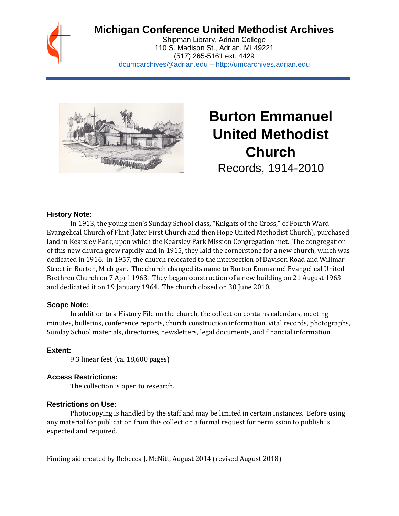## **Michigan Conference United Methodist Archives**

Shipman Library, Adrian College 110 S. Madison St., Adrian, MI 49221 (517) 265-5161 ext. 4429 [dcumcarchives@adrian.edu](mailto:dcumcarchives@adrian.edu) – [http://umcarchives.adrian.edu](http://umcarchives.adrian.edu/)



# **Burton Emmanuel United Methodist Church** Records, 1914-2010

#### **History Note:**

In 1913, the young men's Sunday School class, "Knights of the Cross," of Fourth Ward Evangelical Church of Flint (later First Church and then Hope United Methodist Church), purchased land in Kearsley Park, upon which the Kearsley Park Mission Congregation met. The congregation of this new church grew rapidly and in 1915, they laid the cornerstone for a new church, which was dedicated in 1916. In 1957, the church relocated to the intersection of Davison Road and Willmar Street in Burton, Michigan. The church changed its name to Burton Emmanuel Evangelical United Brethren Church on 7 April 1963. They began construction of a new building on 21 August 1963 and dedicated it on 19 January 1964. The church closed on 30 June 2010.

#### **Scope Note:**

In addition to a History File on the church, the collection contains calendars, meeting minutes, bulletins, conference reports, church construction information, vital records, photographs, Sunday School materials, directories, newsletters, legal documents, and financial information.

#### **Extent:**

9.3 linear feet (ca. 18,600 pages)

#### **Access Restrictions:**

The collection is open to research.

#### **Restrictions on Use:**

Photocopying is handled by the staff and may be limited in certain instances. Before using any material for publication from this collection a formal request for permission to publish is expected and required.

Finding aid created by Rebecca J. McNitt, August 2014 (revised August 2018)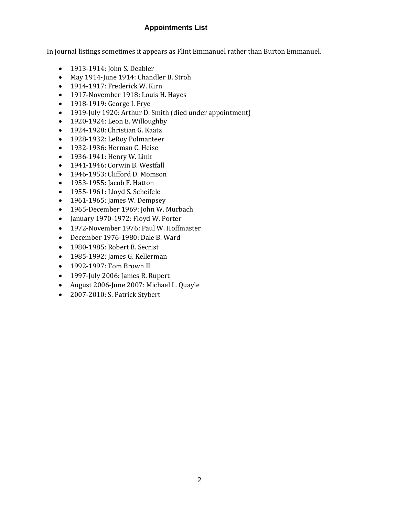#### **Appointments List**

In journal listings sometimes it appears as Flint Emmanuel rather than Burton Emmanuel.

- 1913-1914: John S. Deabler
- May 1914-June 1914: Chandler B. Stroh
- 1914-1917: Frederick W. Kirn
- 1917-November 1918: Louis H. Hayes
- 1918-1919: George I. Frye
- 1919-July 1920: Arthur D. Smith (died under appointment)
- 1920-1924: Leon E. Willoughby
- 1924-1928: Christian G. Kaatz
- 1928-1932: LeRoy Polmanteer
- 1932-1936: Herman C. Heise
- 1936-1941: Henry W. Link
- 1941-1946: Corwin B. Westfall
- 1946-1953: Clifford D. Momson
- 1953-1955: Jacob F. Hatton
- 1955-1961: Lloyd S. Scheifele
- 1961-1965: James W. Dempsey
- 1965-December 1969: John W. Murbach
- January 1970-1972: Floyd W. Porter
- 1972-November 1976: Paul W. Hoffmaster
- December 1976-1980: Dale B. Ward
- 1980-1985: Robert B. Secrist
- 1985-1992: James G. Kellerman
- 1992-1997: Tom Brown II
- 1997-July 2006: James R. Rupert
- August 2006-June 2007: Michael L. Quayle
- 2007-2010: S. Patrick Stybert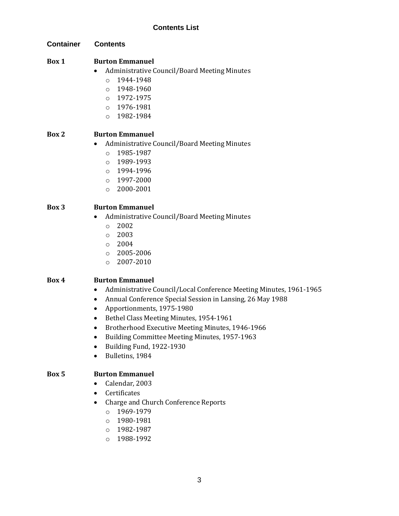**Container Contents**

#### **Box 1 Burton Emmanuel**

- Administrative Council/Board Meeting Minutes
	- $O$  1944-1948
	- o 1948-1960
	- o 1972-1975
	- o 1976-1981
	- o 1982-1984

### **Box 2 Burton Emmanuel**

- Administrative Council/Board Meeting Minutes
	- o 1985-1987
	- o 1989-1993
	- o 1994-1996
	- o 1997-2000
	- o 2000-2001

### **Box 3 Burton Emmanuel**

- Administrative Council/Board Meeting Minutes
	- o 2002
	- o 2003
	- o 2004
	- o 2005-2006
	- o 2007-2010

### **Box 4 Burton Emmanuel**

- Administrative Council/Local Conference Meeting Minutes, 1961-1965
- Annual Conference Special Session in Lansing, 26 May 1988
- Apportionments, 1975-1980
- Bethel Class Meeting Minutes, 1954-1961
- Brotherhood Executive Meeting Minutes, 1946-1966
- Building Committee Meeting Minutes, 1957-1963
- Building Fund, 1922-1930
- Bulletins, 1984

### **Box 5 Burton Emmanuel**

- Calendar, 2003
- Certificates
- Charge and Church Conference Reports
	- o 1969-1979
	- o 1980-1981
	- o 1982-1987
	- o 1988-1992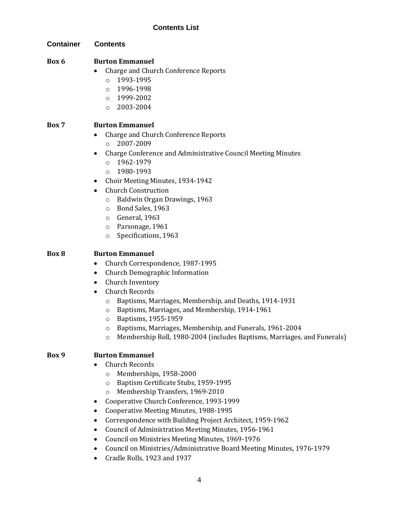**Container Contents**

#### **Box 6 Burton Emmanuel**

- Charge and Church Conference Reports
	- o 1993-1995
	- o 1996-1998
	- o 1999-2002
	- o 2003-2004

#### **Box 7 Burton Emmanuel**

- Charge and Church Conference Reports
	- o 2007-2009
- Charge Conference and Administrative Council Meeting Minutes
	- o 1962-1979
	- o 1980-1993
- Choir Meeting Minutes, 1934-1942
- Church Construction
	- o Baldwin Organ Drawings, 1963
	- o Bond Sales, 1963
	- o General, 1963
	- o Parsonage, 1961
	- o Specifications, 1963

#### **Box 8 Burton Emmanuel**

- Church Correspondence, 1987-1995
- Church Demographic Information
- Church Inventory
- Church Records
	- o Baptisms, Marriages, Membership, and Deaths, 1914-1931
	- o Baptisms, Marriages, and Membership, 1914-1961
	- o Baptisms, 1955-1959
	- o Baptisms, Marriages, Membership, and Funerals, 1961-2004
	- o Membership Roll, 1980-2004 (includes Baptisms, Marriages, and Funerals)

#### **Box 9 Burton Emmanuel**

- Church Records
	- o Memberships, 1958-2000
	- o Baptism Certificate Stubs, 1959-1995
	- o Membership Transfers, 1969-2010
- Cooperative Church Conference, 1993-1999
- Cooperative Meeting Minutes, 1988-1995
- Correspondence with Building Project Architect, 1959-1962
- Council of Administration Meeting Minutes, 1956-1961
- Council on Ministries Meeting Minutes, 1969-1976
- Council on Ministries/Administrative Board Meeting Minutes, 1976-1979
- Cradle Rolls, 1923 and 1937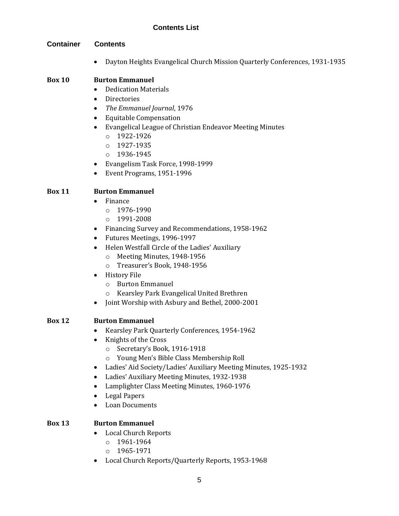#### **Container Contents**

• Dayton Heights Evangelical Church Mission Quarterly Conferences, 1931-1935

#### **Box 10 Burton Emmanuel**

- Dedication Materials
- Directories
- *The Emmanuel Journal*, 1976
- Equitable Compensation
- Evangelical League of Christian Endeavor Meeting Minutes
	- o 1922-1926
	- $O$  1927-1935
	- o 1936-1945
- Evangelism Task Force, 1998-1999
- Event Programs, 1951-1996

#### **Box 11 Burton Emmanuel**

- Finance
	- $O = 1976 1990$
	- o 1991-2008
- Financing Survey and Recommendations, 1958-1962
- Futures Meetings, 1996-1997
- Helen Westfall Circle of the Ladies' Auxiliary
	- o Meeting Minutes, 1948-1956
	- o Treasurer's Book, 1948-1956
- History File
	- o Burton Emmanuel
	- o Kearsley Park Evangelical United Brethren
- Joint Worship with Asbury and Bethel, 2000-2001

#### **Box 12 Burton Emmanuel**

- Kearsley Park Quarterly Conferences, 1954-1962
- Knights of the Cross
	- o Secretary's Book, 1916-1918
	- o Young Men's Bible Class Membership Roll
- Ladies' Aid Society/Ladies' Auxiliary Meeting Minutes, 1925-1932
- Ladies' Auxiliary Meeting Minutes, 1932-1938
- Lamplighter Class Meeting Minutes, 1960-1976
- Legal Papers
- Loan Documents

#### **Box 13 Burton Emmanuel**

- Local Church Reports
	- o 1961-1964
	- o 1965-1971
- Local Church Reports/Quarterly Reports, 1953-1968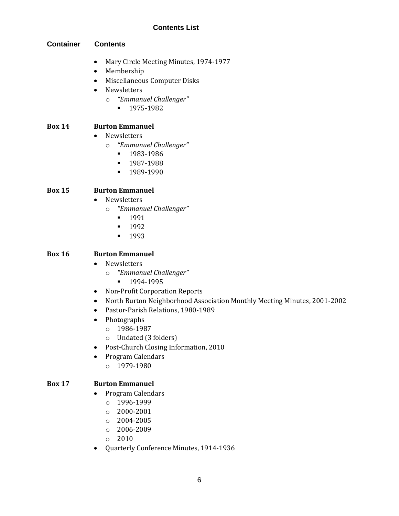#### **Container Contents**

- Mary Circle Meeting Minutes, 1974-1977
- Membership
- Miscellaneous Computer Disks
- Newsletters
	- o *"Emmanuel Challenger"*
		- 1975-1982

#### **Box 14 Burton Emmanuel**

- Newsletters
	- o *"Emmanuel Challenger"*
		- 1983-1986
		- 1987-1988
		- **•** 1989-1990

#### **Box 15 Burton Emmanuel**

- Newsletters
	- o *"Emmanuel Challenger"*
		- **•** 1991
		- **•** 1992
		- **•** 1993

#### **Box 16 Burton Emmanuel**

- Newsletters
	- o *"Emmanuel Challenger"*
		- 1994-1995
- Non-Profit Corporation Reports
- North Burton Neighborhood Association Monthly Meeting Minutes, 2001-2002
- Pastor-Parish Relations, 1980-1989
- Photographs
	- o 1986-1987
	- o Undated (3 folders)
- Post-Church Closing Information, 2010
- Program Calendars
	- o 1979-1980

#### **Box 17 Burton Emmanuel**

- Program Calendars
	- $o$  1996-1999
	- o 2000-2001
	- o 2004-2005
	- o 2006-2009
	- o 2010
- Quarterly Conference Minutes, 1914-1936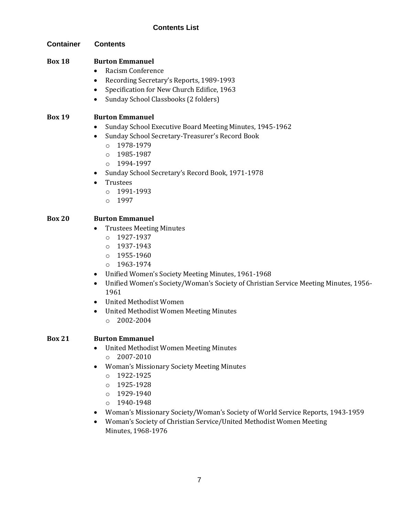**Container Contents**

#### **Box 18 Burton Emmanuel**

- Racism Conference
- Recording Secretary's Reports, 1989-1993
- Specification for New Church Edifice, 1963
- Sunday School Classbooks (2 folders)

#### **Box 19 Burton Emmanuel**

- Sunday School Executive Board Meeting Minutes, 1945-1962
- Sunday School Secretary-Treasurer's Record Book
	- o 1978-1979
	- o 1985-1987
	- o 1994-1997
- Sunday School Secretary's Record Book, 1971-1978
- Trustees
	- o 1991-1993
	- o 1997

#### **Box 20 Burton Emmanuel**

- Trustees Meeting Minutes
	- o 1927-1937
	- o 1937-1943
	- o 1955-1960
	- o 1963-1974
- Unified Women's Society Meeting Minutes, 1961-1968
- Unified Women's Society/Woman's Society of Christian Service Meeting Minutes, 1956- 1961
- United Methodist Women
- United Methodist Women Meeting Minutes
	- o 2002-2004

### **Box 21 Burton Emmanuel**

- United Methodist Women Meeting Minutes o 2007-2010
- Woman's Missionary Society Meeting Minutes
	- o 1922-1925
	- o 1925-1928
	- o 1929-1940
	- $O$  1940-1948
- Woman's Missionary Society/Woman's Society of World Service Reports, 1943-1959
- Woman's Society of Christian Service/United Methodist Women Meeting Minutes, 1968-1976